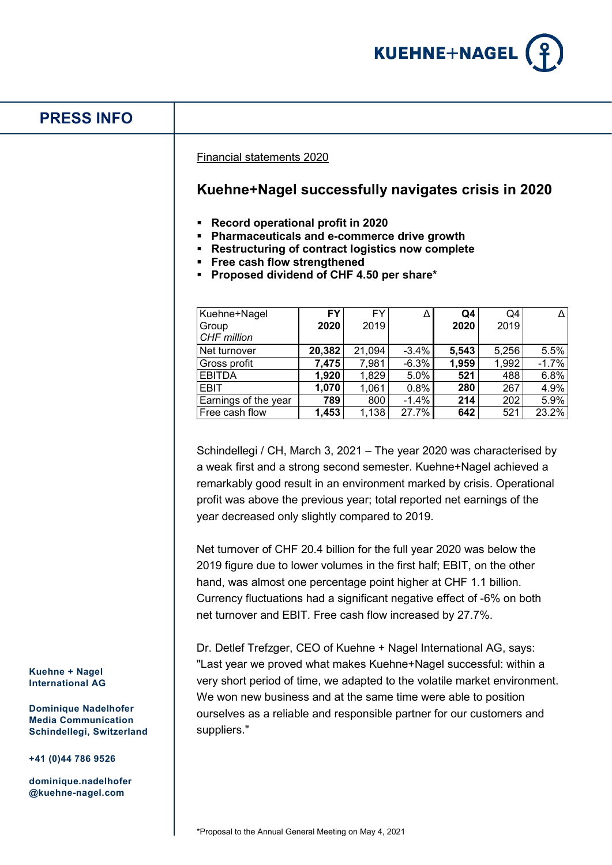

# **PRESS INFO**

Financial statements 2020

## **Kuehne+Nagel successfully navigates crisis in 2020**

- **Record operational profit in 2020**
- **Pharmaceuticals and e-commerce drive growth**
- **Restructuring of contract logistics now complete**
- **Free cash flow strengthened**
- **Proposed dividend of CHF 4.50 per share\***

| Kuehne+Nagel         | FY     | <b>FY</b> | Δ       | Q4    | Q4    |         |
|----------------------|--------|-----------|---------|-------|-------|---------|
| Group                | 2020   | 2019      |         | 2020  | 2019  |         |
| <b>CHF</b> million   |        |           |         |       |       |         |
| Net turnover         | 20,382 | 21,094    | $-3.4%$ | 5,543 | 5,256 | 5.5%    |
| Gross profit         | 7,475  | 7,981     | $-6.3%$ | 1,959 | 1,992 | $-1.7%$ |
| <b>EBITDA</b>        | 1,920  | 1,829     | 5.0%    | 521   | 488   | 6.8%    |
| <b>EBIT</b>          | 1,070  | 1,061     | 0.8%    | 280   | 267   | 4.9%    |
| Earnings of the year | 789    | 800       | $-1.4%$ | 214   | 202   | 5.9%    |
| Free cash flow       | 1,453  | 1,138     | 27.7%   | 642   | 521   | 23.2%   |

Schindellegi / CH, March 3, 2021 – The year 2020 was characterised by a weak first and a strong second semester. Kuehne+Nagel achieved a remarkably good result in an environment marked by crisis. Operational profit was above the previous year; total reported net earnings of the year decreased only slightly compared to 2019.

Net turnover of CHF 20.4 billion for the full year 2020 was below the 2019 figure due to lower volumes in the first half; EBIT, on the other hand, was almost one percentage point higher at CHF 1.1 billion. Currency fluctuations had a significant negative effect of -6% on both net turnover and EBIT. Free cash flow increased by 27.7%.

Dr. Detlef Trefzger, CEO of Kuehne + Nagel International AG, says: "Last year we proved what makes Kuehne+Nagel successful: within a very short period of time, we adapted to the volatile market environment. We won new business and at the same time were able to position ourselves as a reliable and responsible partner for our customers and suppliers."

**Kuehne + Nagel International AG**

**Dominique Nadelhofer Media Communication Schindellegi, Switzerland**

**+41 (0)44 786 9526**

**dominique.nadelhofer @kuehne-nagel.com**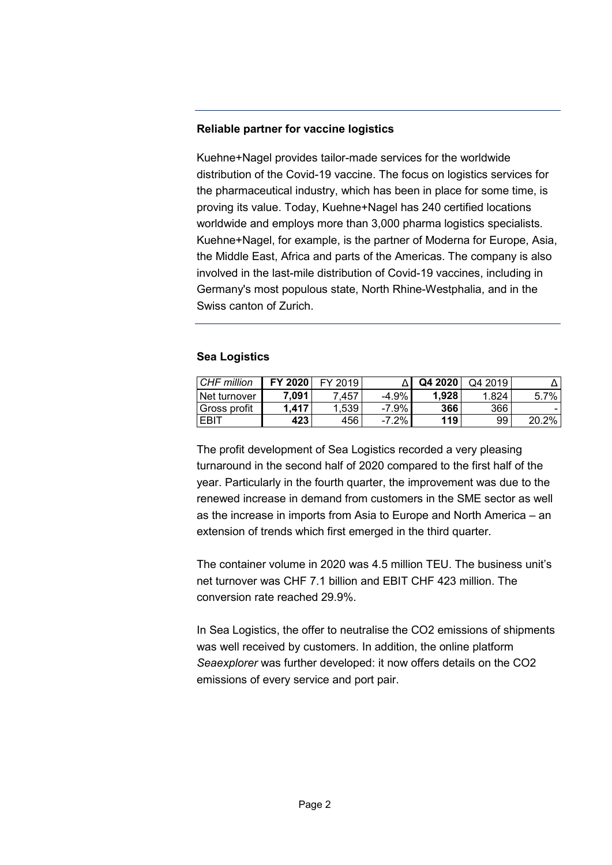## **Reliable partner for vaccine logistics**

Kuehne+Nagel provides tailor-made services for the worldwide distribution of the Covid-19 vaccine. The focus on logistics services for the pharmaceutical industry, which has been in place for some time, is proving its value. Today, Kuehne+Nagel has 240 certified locations worldwide and employs more than 3,000 pharma logistics specialists. Kuehne+Nagel, for example, is the partner of Moderna for Europe, Asia, the Middle East, Africa and parts of the Americas. The company is also involved in the last-mile distribution of Covid-19 vaccines, including in Germany's most populous state, North Rhine-Westphalia, and in the Swiss canton of Zurich.

## **Sea Logistics**

| CHF million  | FY 2020 | FY 2019 |          | Q4 2020 | Q4 2019 |       |
|--------------|---------|---------|----------|---------|---------|-------|
| Net turnover | 7,091   | .457    | $-4.9%$  | 1.928   | 1.824   | 5.7%  |
| Gross profit | .417    | 1.539   | $-7.9\%$ | 366     | 366     |       |
| <b>FBIT</b>  | 423     | 456     | $-7.2%$  | 119     | 99      | 20.2% |

The profit development of Sea Logistics recorded a very pleasing turnaround in the second half of 2020 compared to the first half of the year. Particularly in the fourth quarter, the improvement was due to the renewed increase in demand from customers in the SME sector as well as the increase in imports from Asia to Europe and North America – an extension of trends which first emerged in the third quarter.

The container volume in 2020 was 4.5 million TEU. The business unit's net turnover was CHF 7.1 billion and EBIT CHF 423 million. The conversion rate reached 29.9%.

In Sea Logistics, the offer to neutralise the CO2 emissions of shipments was well received by customers. In addition, the online platform *Seaexplorer* was further developed: it now offers details on the CO2 emissions of every service and port pair.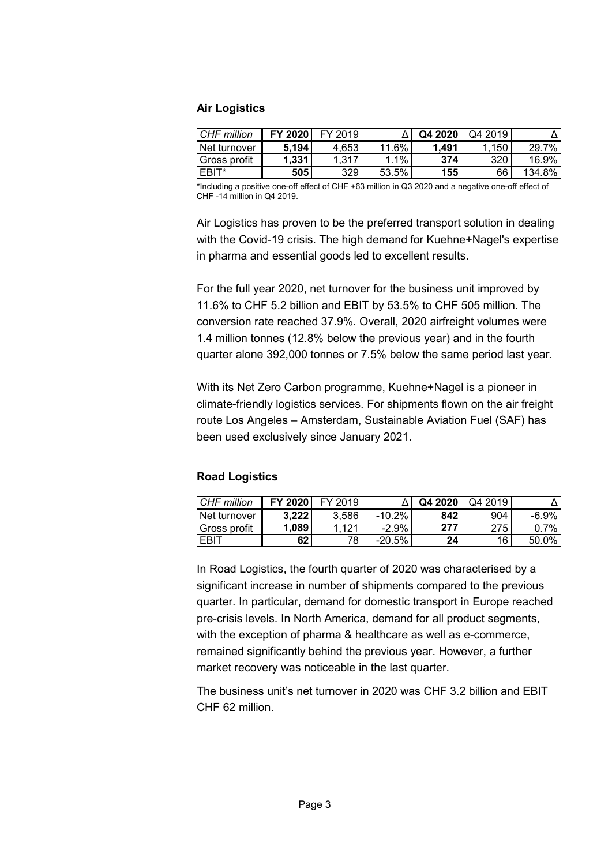#### **Air Logistics**

| CHF million  | FY 2020 | FY 2019 |          | Q4 2020 | Q4 2019 |        |
|--------------|---------|---------|----------|---------|---------|--------|
| Net turnover | 5.194   | 4.653   | $11.6\%$ | 1.491   | .150    | 29.7%  |
| Gross profit | 1.331   | 317.،   | $1.1\%$  | 374     | 320     | 16.9%  |
| EBIT*        | 505     | 329     | 53.5%    | 155     | 66      | 134.8% |

\*Including a positive one-off effect of CHF +63 million in Q3 2020 and a negative one-off effect of CHF -14 million in Q4 2019.

Air Logistics has proven to be the preferred transport solution in dealing with the Covid-19 crisis. The high demand for Kuehne+Nagel's expertise in pharma and essential goods led to excellent results.

For the full year 2020, net turnover for the business unit improved by 11.6% to CHF 5.2 billion and EBIT by 53.5% to CHF 505 million. The conversion rate reached 37.9%. Overall, 2020 airfreight volumes were 1.4 million tonnes (12.8% below the previous year) and in the fourth quarter alone 392,000 tonnes or 7.5% below the same period last year.

With its Net Zero Carbon programme, Kuehne+Nagel is a pioneer in climate-friendly logistics services. For shipments flown on the air freight route Los Angeles – Amsterdam, Sustainable Aviation Fuel (SAF) has been used exclusively since January 2021.

#### **Road Logistics**

| CHF million  | FY 2020 | <b>EY 2019</b>   |           | Q4 2020 | Q4 2019 |         |
|--------------|---------|------------------|-----------|---------|---------|---------|
| Net turnover | 3.222   | 3.586            | $-10.2\%$ | 842     | 904     | -6.9%   |
| Gross profit | 1.089   | .12 <sup>1</sup> | $-2.9\%$  | 277     | 275     | $0.7\%$ |
| <b>EBIT</b>  | 62      | 78               | $-20.5%$  | 24      | 16      | 50.0%   |

In Road Logistics, the fourth quarter of 2020 was characterised by a significant increase in number of shipments compared to the previous quarter. In particular, demand for domestic transport in Europe reached pre-crisis levels. In North America, demand for all product segments, with the exception of pharma & healthcare as well as e-commerce, remained significantly behind the previous year. However, a further market recovery was noticeable in the last quarter.

The business unit's net turnover in 2020 was CHF 3.2 billion and EBIT CHF 62 million.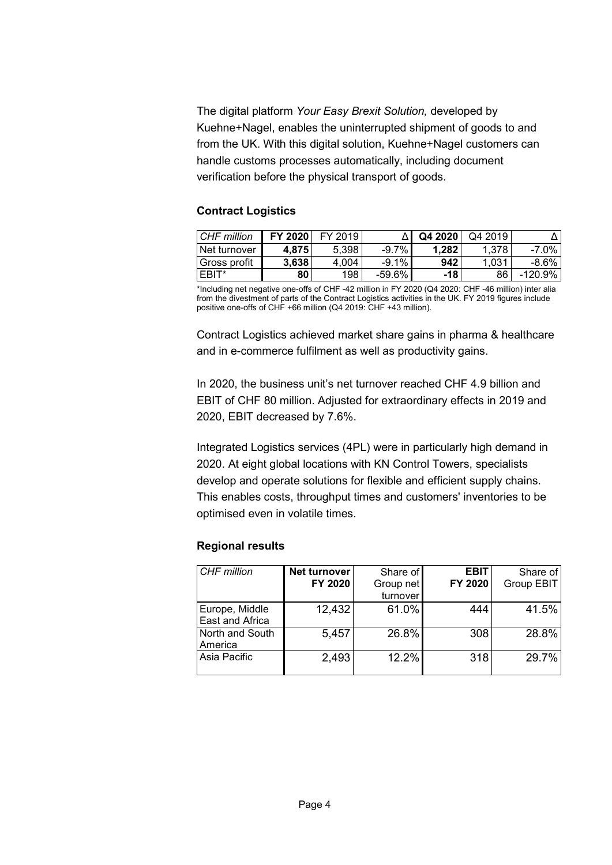The digital platform *Your Easy Brexit Solution,* developed by Kuehne+Nagel, enables the uninterrupted shipment of goods to and from the UK. With this digital solution, Kuehne+Nagel customers can handle customs processes automatically, including document verification before the physical transport of goods.

## **Contract Logistics**

| CHF million  | FY 2020 | FY 2019 |          | Q4 2020 | Q4 2019 |            |
|--------------|---------|---------|----------|---------|---------|------------|
| Net turnover | 4.875   | 5.398   | $-9.7\%$ | 1.282   | 1.378   | $-7.0\%$   |
| Gross profit | 3.638   | 4.004   | $-9.1\%$ | 942     | 1.031   | $-8.6\%$   |
| I EBIT*      | 80      | 198     | $-59.6%$ | $-18$   | 86      | $-120.9\%$ |

\*Including net negative one-offs of CHF -42 million in FY 2020 (Q4 2020: CHF -46 million) inter alia from the divestment of parts of the Contract Logistics activities in the UK. FY 2019 figures include positive one-offs of CHF +66 million (Q4 2019: CHF +43 million).

Contract Logistics achieved market share gains in pharma & healthcare and in e-commerce fulfilment as well as productivity gains.

In 2020, the business unit's net turnover reached CHF 4.9 billion and EBIT of CHF 80 million. Adjusted for extraordinary effects in 2019 and 2020, EBIT decreased by 7.6%.

Integrated Logistics services (4PL) were in particularly high demand in 2020. At eight global locations with KN Control Towers, specialists develop and operate solutions for flexible and efficient supply chains. This enables costs, throughput times and customers' inventories to be optimised even in volatile times.

#### **Regional results**

| <b>CHF</b> million | <b>Net turnover</b> | Share of  | <b>EBIT</b> | Share of   |
|--------------------|---------------------|-----------|-------------|------------|
|                    | FY 2020             | Group net | FY 2020     | Group EBIT |
|                    |                     | turnover  |             |            |
| Europe, Middle     | 12,432              | 61.0%     | 444         | 41.5%      |
| East and Africa    |                     |           |             |            |
| North and South    | 5,457               | 26.8%     | 308         | 28.8%      |
| America            |                     |           |             |            |
| Asia Pacific       | 2,493               | 12.2%     | 318         | 29.7%      |
|                    |                     |           |             |            |